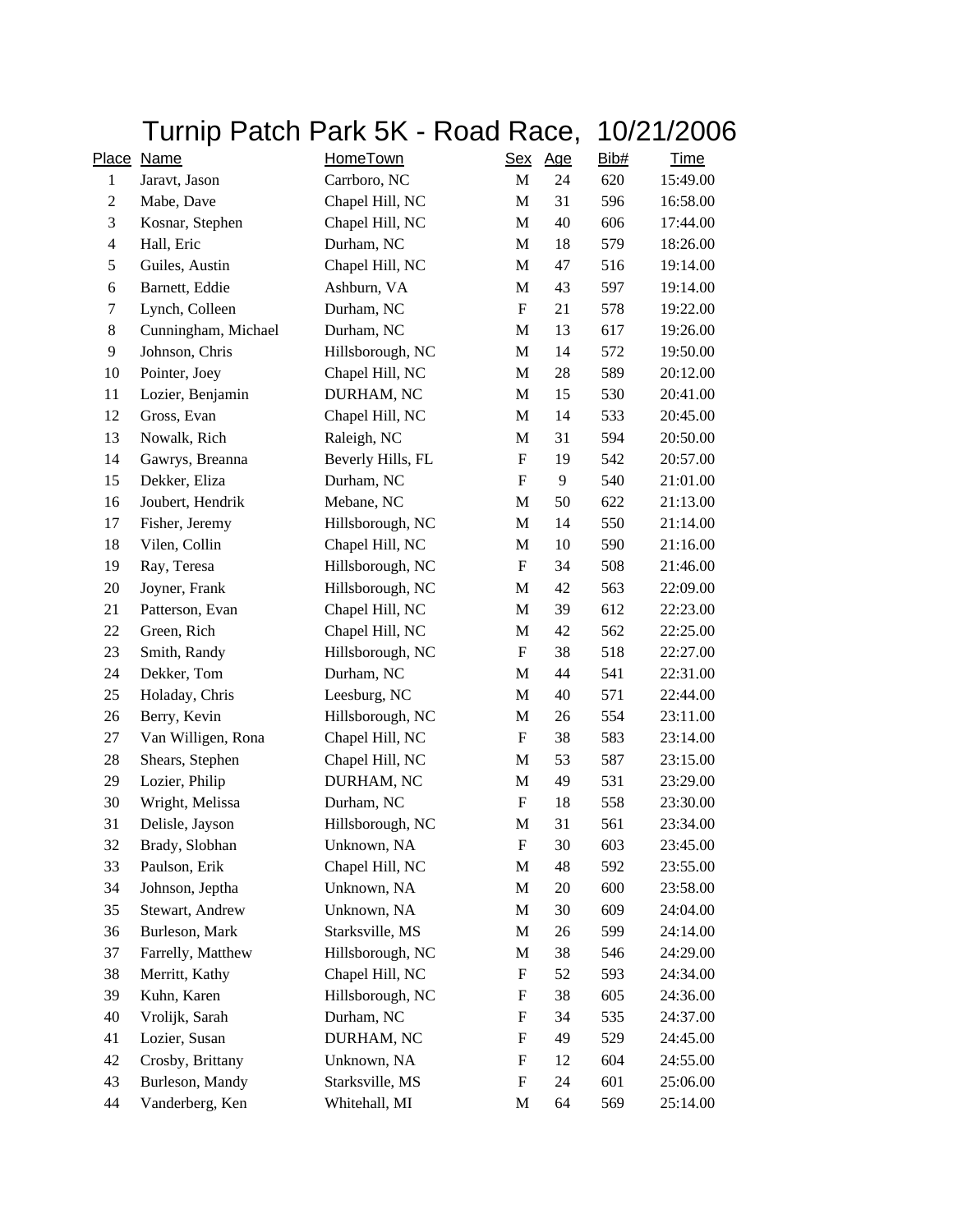|                          |                     |                   | Turnip Patch Park 5K - Road Race, |    | 10/21/2006 |             |
|--------------------------|---------------------|-------------------|-----------------------------------|----|------------|-------------|
|                          | Place Name          | <b>HomeTown</b>   | Sex Age                           |    | Bib#       | <b>Time</b> |
| $\mathbf{1}$             | Jaravt, Jason       | Carrboro, NC      | $\mathbf M$                       | 24 | 620        | 15:49.00    |
| 2                        | Mabe, Dave          | Chapel Hill, NC   | M                                 | 31 | 596        | 16:58.00    |
| 3                        | Kosnar, Stephen     | Chapel Hill, NC   | M                                 | 40 | 606        | 17:44.00    |
| $\overline{\mathcal{L}}$ | Hall, Eric          | Durham, NC        | M                                 | 18 | 579        | 18:26.00    |
| 5                        | Guiles, Austin      | Chapel Hill, NC   | M                                 | 47 | 516        | 19:14.00    |
| 6                        | Barnett, Eddie      | Ashburn, VA       | M                                 | 43 | 597        | 19:14.00    |
| 7                        | Lynch, Colleen      | Durham, NC        | $\boldsymbol{\mathrm{F}}$         | 21 | 578        | 19:22.00    |
| 8                        | Cunningham, Michael | Durham, NC        | $\mathbf M$                       | 13 | 617        | 19:26.00    |
| 9                        | Johnson, Chris      | Hillsborough, NC  | M                                 | 14 | 572        | 19:50.00    |
| 10                       | Pointer, Joey       | Chapel Hill, NC   | M                                 | 28 | 589        | 20:12.00    |
| 11                       | Lozier, Benjamin    | DURHAM, NC        | M                                 | 15 | 530        | 20:41.00    |
| 12                       | Gross, Evan         | Chapel Hill, NC   | M                                 | 14 | 533        | 20:45.00    |
| 13                       | Nowalk, Rich        | Raleigh, NC       | M                                 | 31 | 594        | 20:50.00    |
| 14                       | Gawrys, Breanna     | Beverly Hills, FL | $\boldsymbol{\mathrm{F}}$         | 19 | 542        | 20:57.00    |
| 15                       | Dekker, Eliza       | Durham, NC        | $\boldsymbol{\mathrm{F}}$         | 9  | 540        | 21:01.00    |
| 16                       | Joubert, Hendrik    | Mebane, NC        | M                                 | 50 | 622        | 21:13.00    |
| 17                       | Fisher, Jeremy      | Hillsborough, NC  | M                                 | 14 | 550        | 21:14.00    |
| 18                       | Vilen, Collin       | Chapel Hill, NC   | M                                 | 10 | 590        | 21:16.00    |
| 19                       | Ray, Teresa         | Hillsborough, NC  | $\boldsymbol{\mathrm{F}}$         | 34 | 508        | 21:46.00    |
| 20                       | Joyner, Frank       | Hillsborough, NC  | M                                 | 42 | 563        | 22:09.00    |
| 21                       | Patterson, Evan     | Chapel Hill, NC   | M                                 | 39 | 612        | 22:23.00    |
| 22                       | Green, Rich         | Chapel Hill, NC   | M                                 | 42 | 562        | 22:25.00    |
| 23                       | Smith, Randy        | Hillsborough, NC  | F                                 | 38 | 518        | 22:27.00    |
| 24                       | Dekker, Tom         | Durham, NC        | M                                 | 44 | 541        | 22:31.00    |
| 25                       | Holaday, Chris      | Leesburg, NC      | M                                 | 40 | 571        | 22:44.00    |
| 26                       | Berry, Kevin        | Hillsborough, NC  | M                                 | 26 | 554        | 23:11.00    |
| 27                       | Van Willigen, Rona  | Chapel Hill, NC   | F                                 | 38 | 583        | 23:14.00    |
| 28                       | Shears, Stephen     | Chapel Hill, NC   | M                                 | 53 | 587        | 23:15.00    |
| 29                       | Lozier, Philip      | DURHAM, NC        | M                                 | 49 | 531        | 23:29.00    |
| 30                       | Wright, Melissa     | Durham, NC        | $\boldsymbol{\mathrm{F}}$         | 18 | 558        | 23:30.00    |
| 31                       | Delisle, Jayson     | Hillsborough, NC  | M                                 | 31 | 561        | 23:34.00    |
| 32                       | Brady, Slobhan      | Unknown, NA       | ${\bf F}$                         | 30 | 603        | 23:45.00    |
| 33                       | Paulson, Erik       | Chapel Hill, NC   | M                                 | 48 | 592        | 23:55.00    |
| 34                       | Johnson, Jeptha     | Unknown, NA       | M                                 | 20 | 600        | 23:58.00    |
| 35                       | Stewart, Andrew     | Unknown, NA       | M                                 | 30 | 609        | 24:04.00    |
| 36                       | Burleson, Mark      | Starksville, MS   | M                                 | 26 | 599        | 24:14.00    |
| 37                       | Farrelly, Matthew   | Hillsborough, NC  | M                                 | 38 | 546        | 24:29.00    |
| 38                       | Merritt, Kathy      | Chapel Hill, NC   | $\boldsymbol{\mathrm{F}}$         | 52 | 593        | 24:34.00    |
| 39                       | Kuhn, Karen         | Hillsborough, NC  | $\boldsymbol{\mathrm{F}}$         | 38 | 605        | 24:36.00    |
| 40                       | Vrolijk, Sarah      | Durham, NC        | $\boldsymbol{\mathrm{F}}$         | 34 | 535        | 24:37.00    |
| 41                       | Lozier, Susan       | DURHAM, NC        | $\boldsymbol{\mathrm{F}}$         | 49 | 529        | 24:45.00    |
| 42                       | Crosby, Brittany    | Unknown, NA       | $\boldsymbol{\mathrm{F}}$         | 12 | 604        | 24:55.00    |
| 43                       | Burleson, Mandy     | Starksville, MS   | $\boldsymbol{\mathrm{F}}$         | 24 | 601        | 25:06.00    |
| 44                       | Vanderberg, Ken     | Whitehall, MI     | M                                 | 64 | 569        | 25:14.00    |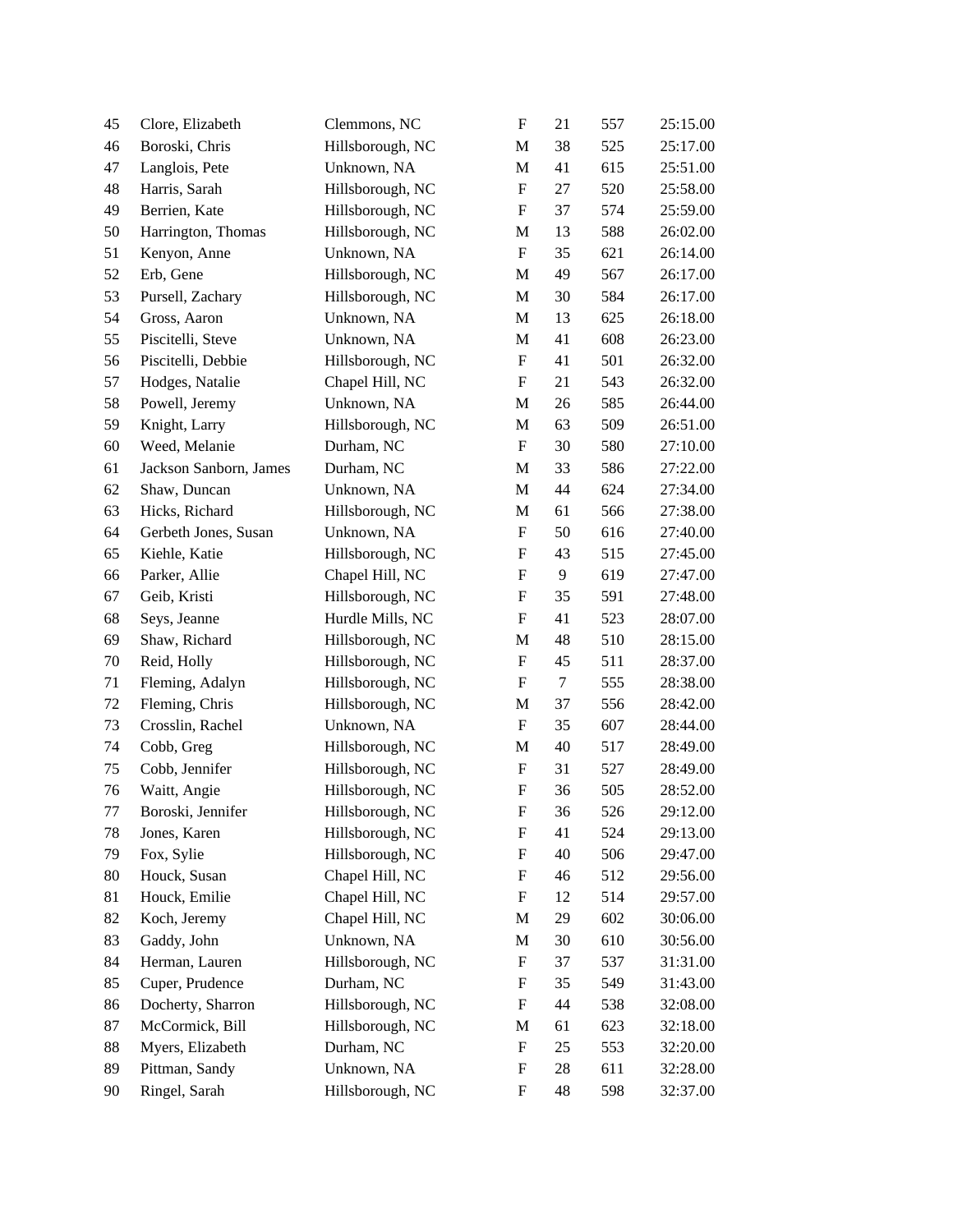| 45     | Clore, Elizabeth       | Clemmons, NC     | $\boldsymbol{\mathrm{F}}$ | 21     | 557 | 25:15.00 |
|--------|------------------------|------------------|---------------------------|--------|-----|----------|
| 46     | Boroski, Chris         | Hillsborough, NC | $\mathbf M$               | 38     | 525 | 25:17.00 |
| 47     | Langlois, Pete         | Unknown, NA      | M                         | 41     | 615 | 25:51.00 |
| 48     | Harris, Sarah          | Hillsborough, NC | $\boldsymbol{\mathrm{F}}$ | 27     | 520 | 25:58.00 |
| 49     | Berrien, Kate          | Hillsborough, NC | $\boldsymbol{\mathrm{F}}$ | 37     | 574 | 25:59.00 |
| 50     | Harrington, Thomas     | Hillsborough, NC | M                         | 13     | 588 | 26:02.00 |
| 51     | Kenyon, Anne           | Unknown, NA      | $\boldsymbol{\mathrm{F}}$ | 35     | 621 | 26:14.00 |
| 52     | Erb, Gene              | Hillsborough, NC | M                         | 49     | 567 | 26:17.00 |
| 53     | Pursell, Zachary       | Hillsborough, NC | M                         | 30     | 584 | 26:17.00 |
| 54     | Gross, Aaron           | Unknown, NA      | M                         | 13     | 625 | 26:18.00 |
| 55     | Piscitelli, Steve      | Unknown, NA      | M                         | 41     | 608 | 26:23.00 |
| 56     | Piscitelli, Debbie     | Hillsborough, NC | $\boldsymbol{\mathrm{F}}$ | 41     | 501 | 26:32.00 |
| 57     | Hodges, Natalie        | Chapel Hill, NC  | F                         | 21     | 543 | 26:32.00 |
| 58     | Powell, Jeremy         | Unknown, NA      | M                         | 26     | 585 | 26:44.00 |
| 59     | Knight, Larry          | Hillsborough, NC | M                         | 63     | 509 | 26:51.00 |
| 60     | Weed, Melanie          | Durham, NC       | $\boldsymbol{\mathrm{F}}$ | 30     | 580 | 27:10.00 |
| 61     | Jackson Sanborn, James | Durham, NC       | M                         | 33     | 586 | 27:22.00 |
| 62     | Shaw, Duncan           | Unknown, NA      | M                         | 44     | 624 | 27:34.00 |
| 63     | Hicks, Richard         | Hillsborough, NC | M                         | 61     | 566 | 27:38.00 |
| 64     | Gerbeth Jones, Susan   | Unknown, NA      | $\boldsymbol{\mathrm{F}}$ | 50     | 616 | 27:40.00 |
| 65     | Kiehle, Katie          | Hillsborough, NC | F                         | 43     | 515 | 27:45.00 |
| 66     | Parker, Allie          | Chapel Hill, NC  | F                         | 9      | 619 | 27:47.00 |
| 67     | Geib, Kristi           | Hillsborough, NC | F                         | 35     | 591 | 27:48.00 |
| 68     | Seys, Jeanne           | Hurdle Mills, NC | $\boldsymbol{\mathrm{F}}$ | 41     | 523 | 28:07.00 |
| 69     | Shaw, Richard          | Hillsborough, NC | M                         | 48     | 510 | 28:15.00 |
| $70\,$ | Reid, Holly            | Hillsborough, NC | F                         | 45     | 511 | 28:37.00 |
| 71     | Fleming, Adalyn        | Hillsborough, NC | $\boldsymbol{\mathrm{F}}$ | $\tau$ | 555 | 28:38.00 |
| 72     | Fleming, Chris         | Hillsborough, NC | M                         | 37     | 556 | 28:42.00 |
| 73     | Crosslin, Rachel       | Unknown, NA      | $\boldsymbol{\mathrm{F}}$ | 35     | 607 | 28:44.00 |
| 74     | Cobb, Greg             | Hillsborough, NC | M                         | 40     | 517 | 28:49.00 |
| 75     | Cobb, Jennifer         | Hillsborough, NC | ${\bf F}$                 | 31     | 527 | 28:49.00 |
| 76     | Waitt, Angie           | Hillsborough, NC | $\boldsymbol{\mathrm{F}}$ | 36     | 505 | 28:52.00 |
| 77     | Boroski, Jennifer      | Hillsborough, NC | F                         | 36     | 526 | 29:12.00 |
| 78     | Jones, Karen           | Hillsborough, NC | F                         | 41     | 524 | 29:13.00 |
| 79     | Fox, Sylie             | Hillsborough, NC | F                         | 40     | 506 | 29:47.00 |
| 80     | Houck, Susan           | Chapel Hill, NC  | F                         | 46     | 512 | 29:56.00 |
| 81     | Houck, Emilie          | Chapel Hill, NC  | F                         | 12     | 514 | 29:57.00 |
| 82     | Koch, Jeremy           | Chapel Hill, NC  | M                         | 29     | 602 | 30:06.00 |
| 83     | Gaddy, John            | Unknown, NA      | M                         | 30     | 610 | 30:56.00 |
| 84     | Herman, Lauren         | Hillsborough, NC | F                         | 37     | 537 | 31:31.00 |
| 85     | Cuper, Prudence        | Durham, NC       | F                         | 35     | 549 | 31:43.00 |
| 86     | Docherty, Sharron      | Hillsborough, NC | F                         | 44     | 538 | 32:08.00 |
| 87     | McCormick, Bill        | Hillsborough, NC | M                         | 61     | 623 | 32:18.00 |
| 88     | Myers, Elizabeth       | Durham, NC       | F                         | 25     | 553 | 32:20.00 |
| 89     | Pittman, Sandy         | Unknown, NA      | F                         | 28     | 611 | 32:28.00 |
| 90     | Ringel, Sarah          | Hillsborough, NC | F                         | 48     | 598 | 32:37.00 |